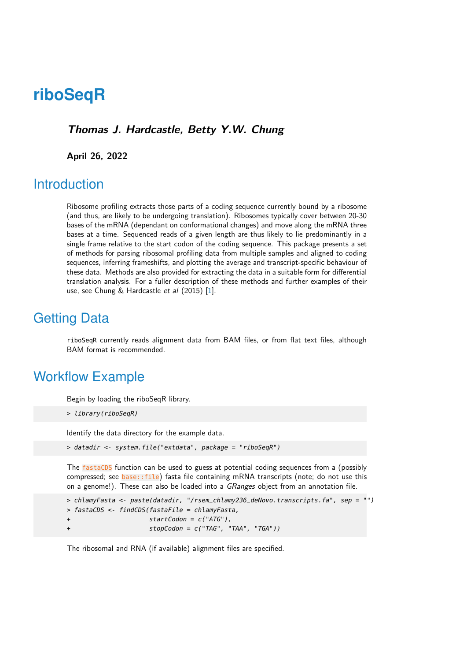# **riboSeqR**

#### **Thomas J. Hardcastle, Betty Y.W. Chung**

**April 26, 2022**

### **Introduction**

Ribosome profiling extracts those parts of a coding sequence currently bound by a ribosome (and thus, are likely to be undergoing translation). Ribosomes typically cover between 20-30 bases of the mRNA (dependant on conformational changes) and move along the mRNA three bases at a time. Sequenced reads of a given length are thus likely to lie predominantly in a single frame relative to the start codon of the coding sequence. This package presents a set of methods for parsing ribosomal profiling data from multiple samples and aligned to coding sequences, inferring frameshifts, and plotting the average and transcript-specific behaviour of these data. Methods are also provided for extracting the data in a suitable form for differential translation analysis. For a fuller description of these methods and further examples of their use, see Chung & Hardcastle et al (2015) [\[1\]](#page-8-0).

### Getting Data

riboSeqR currently reads alignment data from BAM files, or from flat text files, although BAM format is recommended.

### Workflow Example

Begin by loading the riboSeqR library.

```
> library(riboSeqR)
```
Identify the data directory for the example data.

```
> datadir <- system.file("extdata", package = "riboSeqR")
```
The fastaCDS function can be used to guess at potential coding sequences from a (possibly compressed; see base::file) fasta file containing mRNA transcripts (note; do not use this on a genome!). These can also be loaded into a GRanges object from an annotation file.

```
> chlamyFasta <- paste(datadir, "/rsem_chlamy236_deNovo.transcripts.fa", sep = "")
> fastaCDS <- findCDS(fastaFile = chlamyFasta,
                      startCodon = c("ATG"),stopCodon = c("TAG", "TAA", "TGA"))
```
The ribosomal and RNA (if available) alignment files are specified.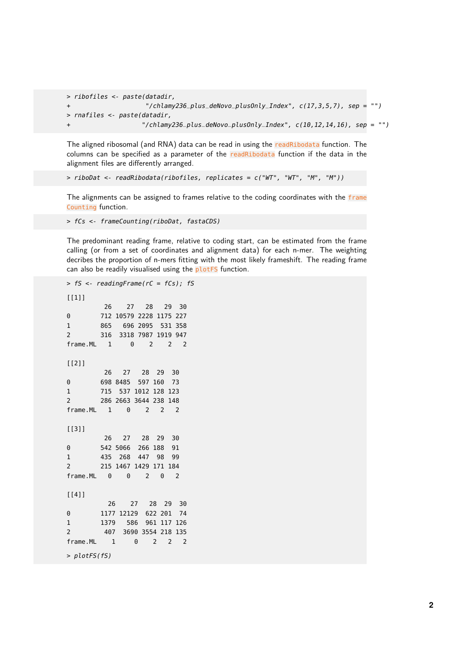```
> ribofiles <- paste(datadir,
+ "/chlamy236_plus_deNovo_plusOnly_Index", c(17,3,5,7), sep = "")
> rnafiles <- paste(datadir,
+ "/chlamy236_plus_deNovo_plusOnly_Index", c(10,12,14,16), sep = "")
```
The aligned ribosomal (and RNA) data can be read in using the readRibodata function. The columns can be specified as a parameter of the readRibodata function if the data in the alignment files are differently arranged.

```
> riboDat <- readRibodata(ribofiles, replicates = c("WT", "WT", "M", "M"))
```
The alignments can be assigned to frames relative to the coding coordinates with the frame Counting function.

> fCs <- frameCounting(riboDat, fastaCDS)

The predominant reading frame, relative to coding start, can be estimated from the frame calling (or from a set of coordinates and alignment data) for each n-mer. The weighting decribes the proportion of n-mers fitting with the most likely frameshift. The reading frame can also be readily visualised using the plotFS function.

```
> fS <- readingFrame(rC = fCs); fS
[1]]
       26 27 28 29 30
0 712 10579 2228 1175 227
1 865 696 2095 531 358
2 316 3318 7987 1919 947
frame.ML 1 0 2 2 2
[[2]]
       26 27 28 29 30
0 698 8485 597 160 73
1 715 537 1012 128 123
2 286 2663 3644 238 148
frame.ML 1 0 2 2 2
[[3]]
       26 27 28 29 30
0 542 5066 266 188 91
1 435 268 447 98 99
2 215 1467 1429 171 184
frame.ML 0 0 2 0 2
[[4]]
        26 27 28 29 30
0 1177 12129 622 201 74
1 1379 586 961 117 126
2 407 3690 3554 218 135
frame.ML 1 0 2 2 2
> plotFS(fS)
```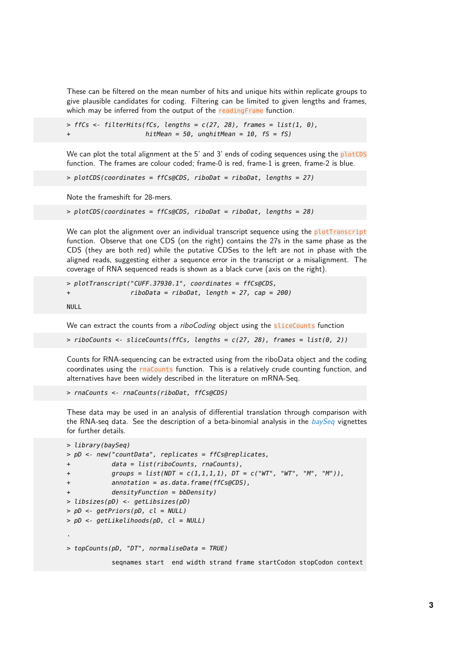These can be filtered on the mean number of hits and unique hits within replicate groups to give plausible candidates for coding. Filtering can be limited to given lengths and frames, which may be inferred from the output of the readingFrame function.

 $>$  ffCs <- filterHits(fCs, lengths =  $c(27, 28)$ , frames = list(1, 0),  $h$ itMean = 50, unghitMean = 10, fS = fS)

We can plot the total alignment at the 5' and 3' ends of coding sequences using the plotCDS function. The frames are colour coded; frame-0 is red, frame-1 is green, frame-2 is blue.

> plotCDS(coordinates = ffCs@CDS, riboDat = riboDat, lengths = 27)

Note the frameshift for 28-mers.

```
> plotCDS(coordinates = ffCs@CDS, riboDat = riboDat, lengths = 28)
```
We can plot the alignment over an individual transcript sequence using the plotTranscript function. Observe that one CDS (on the right) contains the 27s in the same phase as the CDS (they are both red) while the putative CDSes to the left are not in phase with the aligned reads, suggesting either a sequence error in the transcript or a misalignment. The coverage of RNA sequenced reads is shown as a black curve (axis on the right).

> plotTranscript("CUFF.37930.1", coordinates = ffCs@CDS,  $ribobata = ribobat, length = 27, cap = 200)$ 

NULL<sub>1</sub>

We can extract the counts from a *riboCoding* object using the sliceCounts function

 $> riboCounts < - sliceCounts(ffCs, lengths = c(27, 28), frames = list(0, 2))$ 

Counts for RNA-sequencing can be extracted using from the riboData object and the coding coordinates using the rnaCounts function. This is a relatively crude counting function, and alternatives have been widely described in the literature on mRNA-Seq.

```
> rnaCounts <- rnaCounts(riboDat, ffCs@CDS)
```
These data may be used in an analysis of differential translation through comparison with the RNA-seq data. See the description of a beta-binomial analysis in the  $baySeq$  vignettes for further details.

```
> library(baySeq)
> pD <- new("countData", replicates = ffCs@replicates,
            data = list(riboCounts, rnaCounts),groups = list(NDT = c(1,1,1,1), DT = c("WT", "WT", "M", "M")),
            annotation = as.data frame(ffCs@CDS),
           densityFunction = bbbensity)> libsizes(pD) <- getLibsizes(pD)
> pD <- getPriors(pD, cl = NULL)
> pD <- getLikelihoods(pD, cl = NULL)
.
> topCounts(pD, "DT", normaliseData = TRUE)
            seqnames start end width strand frame startCodon stopCodon context
```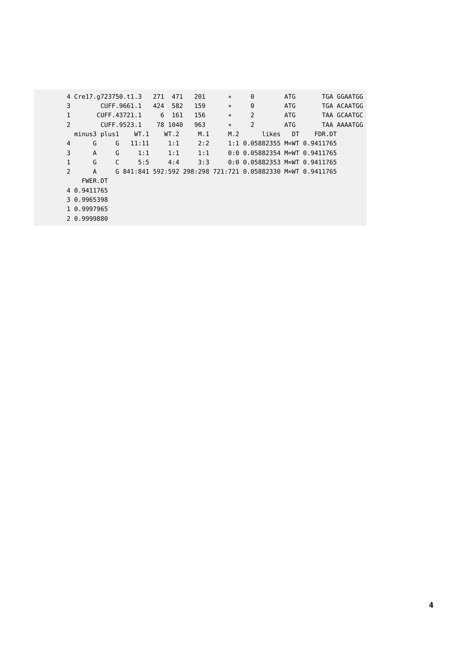|               | 4 Cre17.g723750.t1.3 |   |         | 271  | 471<br>201 | $\ast$ | $\Theta$                                                    | ATG       |             | TGA GGAATGG |
|---------------|----------------------|---|---------|------|------------|--------|-------------------------------------------------------------|-----------|-------------|-------------|
| 3             | CUFF.9661.1          |   |         | 424  | 582<br>159 | $\ast$ | 0                                                           | ATG       |             | TGA ACAATGG |
| $\mathbf{1}$  | CUFF.43721.1         |   |         | 6    | 161<br>156 | $\ast$ | $\overline{2}$                                              | ATG       |             | TAA GCAATGC |
| $\mathcal{P}$ | CUFF.9523.1          |   | 78 1040 | 963  | $\ast$     | 2      | ATG                                                         |           | TAA AAAATGG |             |
|               | minus3 plus1         |   | WT.1    | WT.2 | M.1        | M.2    | likes                                                       | <b>DT</b> | FDR.DT      |             |
| 4             | G                    | G | 11:11   | 1:1  | 2:2        |        | 1:1 0.05882355 M=WT 0.9411765                               |           |             |             |
| 3             | A                    | G | 1:1     | 1:1  | 1:1        |        | $0:0$ 0.05882354 M=WT 0.9411765                             |           |             |             |
| 1             | G                    | C | 5:5     | 4:4  | 3:3        |        | $0:0$ 0.05882353 M=WT 0.9411765                             |           |             |             |
| $\mathcal{P}$ | A                    |   |         |      |            |        | G 841:841 592:592 298:298 721:721 0.05882330 M=WT 0.9411765 |           |             |             |
|               | FWER.DT              |   |         |      |            |        |                                                             |           |             |             |
|               | 4 0.9411765          |   |         |      |            |        |                                                             |           |             |             |
|               | 3 0.9965398          |   |         |      |            |        |                                                             |           |             |             |
|               | 1 0.9997965          |   |         |      |            |        |                                                             |           |             |             |
|               | 2 0.9999880          |   |         |      |            |        |                                                             |           |             |             |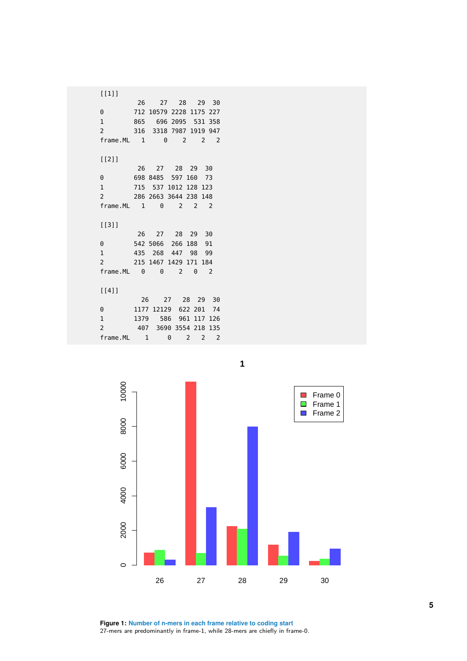

**Figure 1: Number of n-mers in each frame relative to coding start** 27-mers are predominantly in frame-1, while 28-mers are chiefly in frame-0. **5**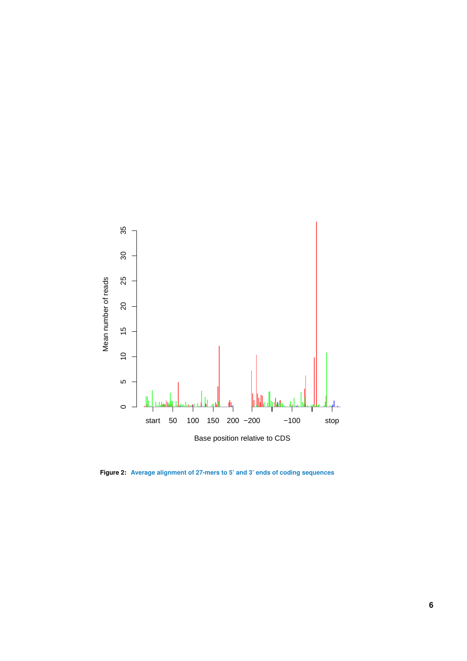

**Figure 2: Average alignment of 27-mers to 5' and 3' ends of coding sequences**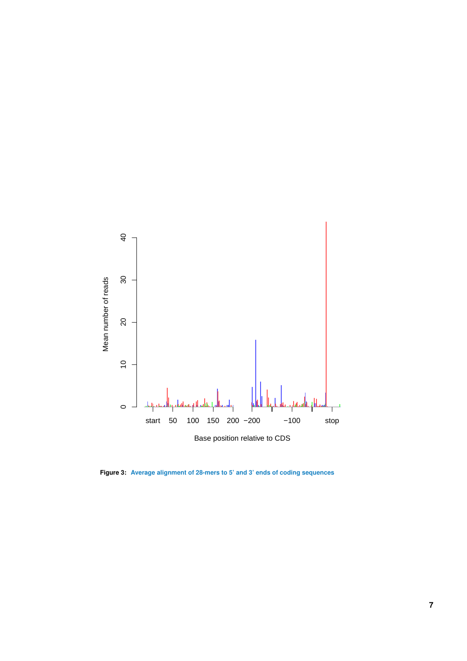

**Figure 3: Average alignment of 28-mers to 5' and 3' ends of coding sequences**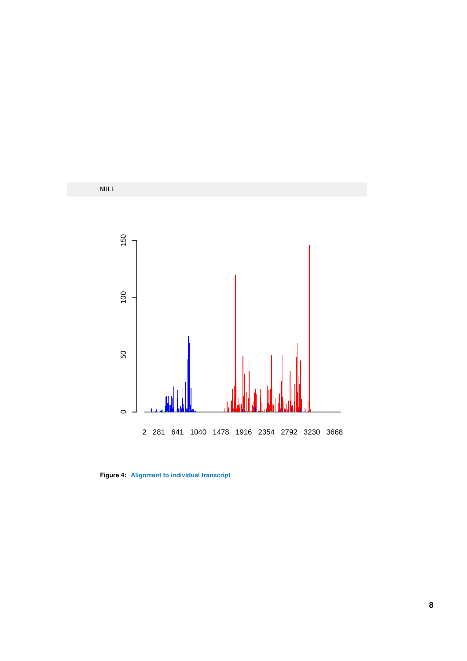

**Figure 4: Alignment to individual transcript**